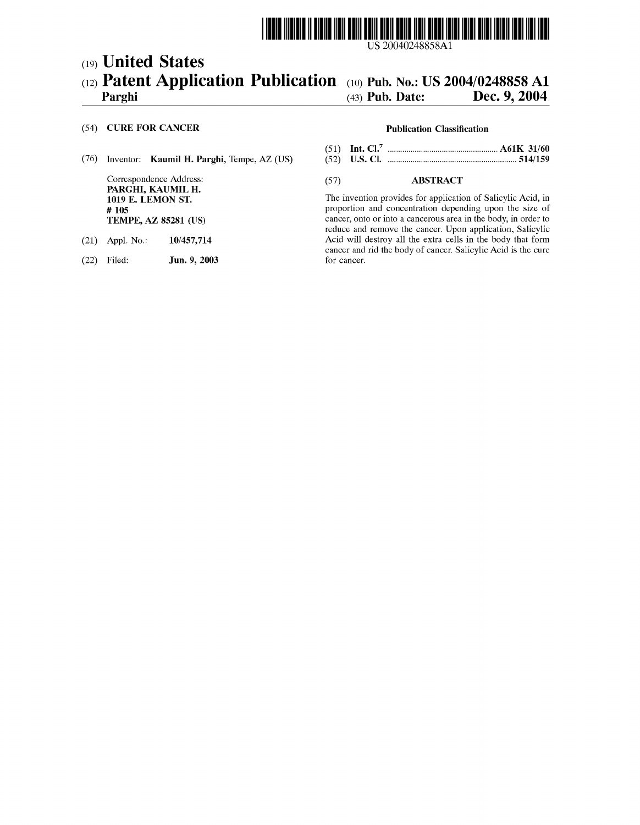

US 20040248858A1

# (19) United States (12) **Patent Application Publication** (10) Pub. No.: US 2004/0248858 A1 Parghi (43) Pub. Date: Dec. 9, 2004

# Dec. 9, 2004

### (54) CURE FOR CANCER Publication Classification

### (76) Inventor: Kaumil H. Parghi, Tempe, AZ (US) (52) U.S. Cl. .............................................................. 514/159

PARGHI, KAUMIL H.<br>1019 E. LEMON ST.

- 
- (22) Filed: **Jun. 9, 2003**

- (51) Int. Cl." ..................................................... A61K 31/60
- 

## Correspondence Address: (57) ABSTRACT

1019 E. LEMON ST.<br>  $\#$  105<br>  $\#$  105 proportion and concentration depending upon the size of TEMPE, AZ 85281 (US) cancer, onto or into a cancerous area in the body, in order to reduce and remove the cancer. Upon application, Salicylic (21) Appl. No.: 10/457,714 Acid will destroy all the extra cells in the body that form cancer and rid the body of cancer. Salicylic Acid is the cure